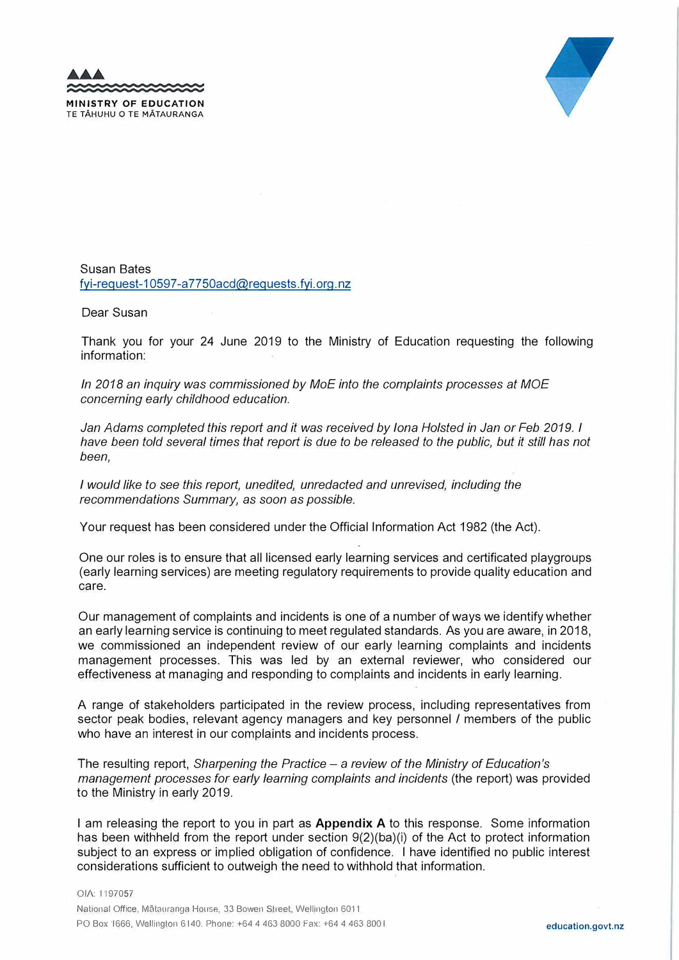**MINISTRY OF EDUCATION**  TE TAHUHU O TE MATAURANGA



Susan Bates fyi-request-10597-a7750acd@requests.fyi.org.nz

Dear Susan

Thank you for your 24 June 2019 to the Ministry of Education requesting the following information:

*In 2018 an inquiry was commissioned by MoE into the complaints processes at MOE concerning early childhood education.* 

*Jan Adams completed this report and it was received by Iona Hoisted in Jan or Feb 2019. I have been told several times that report is due to be released to the public, but it still has not been,* 

*I would like to see this report, unedited, unredacted and unrevised, including the recommendations Summary, as soon as possible.* 

Your request has been considered under the Official Information Act 1982 (the Act).

One our roles is to ensure that all licensed early learning services and certificated playgroups (early learning services) are meeting regulatory requirements to provide quality education and care.

Our management of complaints and incidents is one of a number of ways we identify whether an early learning service is continuing to meet regulated standards. As you are aware, in 2018, we commissioned an independent review of our early learning complaints and incidents management processes. This was led by an external reviewer, who considered our effectiveness at managing and responding to complaints and incidents in early learning.

A range of stakeholders participated in the review process, including representatives from sector peak bodies, relevant agency managers and key personnel / members of the public who have an interest in our complaints and incidents process.

The resulting report, *Sharpening the Practice* - a *review of the Ministry of Education's management processes for early learning complaints and incidents* (the report) was provided to the Ministry in early 2019.

I am releasing the report to you in part as **Appendix A** to this response. Some information has been withheld from the report under section 9(2)(ba)(i) of the Act to protect information subject to an express or implied obligation of confidence. I have identified no public interest considerations sufficient to outweigh the need to withhold that information.